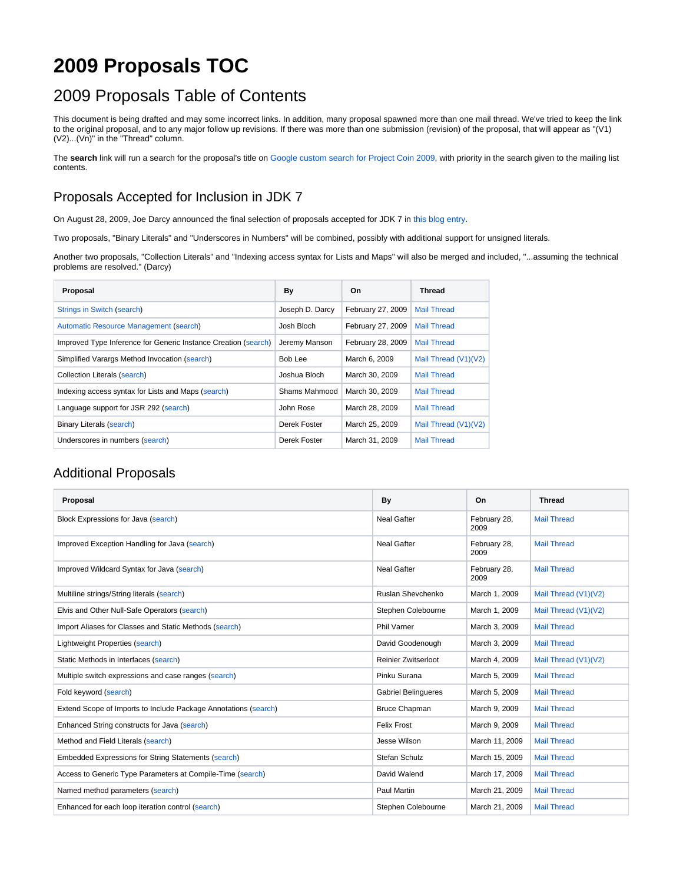## **2009 Proposals TOC**

## 2009 Proposals Table of Contents

This document is being drafted and may some incorrect links. In addition, many proposal spawned more than one mail thread. We've tried to keep the link to the original proposal, and to any major follow up revisions. If there was more than one submission (revision) of the proposal, that will appear as "(V1) (V2)...(Vn)" in the "Thread" column.

The search link will run a search for the proposal's title on [Google custom search for Project Coin 2009](http://www.google.com/cse/home?cx=009446197581776852661:ie1x8vant00), with priority in the search given to the mailing list contents.

## Proposals Accepted for Inclusion in JDK 7

On August 28, 2009, Joe Darcy announced the final selection of proposals accepted for JDK 7 in [this blog entry](http://blogs.oracle.com/darcy/date/20090828).

Two proposals, "Binary Literals" and "Underscores in Numbers" will be combined, possibly with additional support for unsigned literals.

Another two proposals, "Collection Literals" and "Indexing access syntax for Lists and Maps" will also be merged and included, "...assuming the technical problems are resolved." (Darcy)

| Proposal                                                       | By              | On                | Thread               |
|----------------------------------------------------------------|-----------------|-------------------|----------------------|
| Strings in Switch (search)                                     | Joseph D. Darcy | February 27, 2009 | <b>Mail Thread</b>   |
| Automatic Resource Management (search)                         | Josh Bloch      | February 27, 2009 | <b>Mail Thread</b>   |
| Improved Type Inference for Generic Instance Creation (search) | Jeremy Manson   | February 28, 2009 | <b>Mail Thread</b>   |
| Simplified Varargs Method Invocation (search)                  | Bob Lee         | March 6, 2009     | Mail Thread (V1)(V2) |
| Collection Literals (search)                                   | Joshua Bloch    | March 30, 2009    | <b>Mail Thread</b>   |
| Indexing access syntax for Lists and Maps (search)             | Shams Mahmood   | March 30, 2009    | <b>Mail Thread</b>   |
| Language support for JSR 292 (search)                          | John Rose       | March 28, 2009    | <b>Mail Thread</b>   |
| <b>Binary Literals (search)</b>                                | Derek Foster    | March 25, 2009    | Mail Thread (V1)(V2) |
| Underscores in numbers (search)                                | Derek Foster    | March 31, 2009    | <b>Mail Thread</b>   |

## Additional Proposals

| Proposal                                                        | By                         | On                   | <b>Thread</b>        |
|-----------------------------------------------------------------|----------------------------|----------------------|----------------------|
| Block Expressions for Java (search)                             | <b>Neal Gafter</b>         | February 28,<br>2009 | <b>Mail Thread</b>   |
| Improved Exception Handling for Java (search)                   | <b>Neal Gafter</b>         | February 28,<br>2009 | <b>Mail Thread</b>   |
| Improved Wildcard Syntax for Java (search)                      | <b>Neal Gafter</b>         | February 28,<br>2009 | <b>Mail Thread</b>   |
| Multiline strings/String literals (search)                      | Ruslan Shevchenko          | March 1, 2009        | Mail Thread (V1)(V2) |
| Elvis and Other Null-Safe Operators (search)                    | Stephen Colebourne         | March 1, 2009        | Mail Thread (V1)(V2) |
| Import Aliases for Classes and Static Methods (search)          | <b>Phil Varner</b>         | March 3, 2009        | <b>Mail Thread</b>   |
| Lightweight Properties (search)                                 | David Goodenough           | March 3, 2009        | <b>Mail Thread</b>   |
| Static Methods in Interfaces (search)                           | <b>Reinier Zwitserloot</b> | March 4, 2009        | Mail Thread (V1)(V2) |
| Multiple switch expressions and case ranges (search)            | Pinku Surana               | March 5, 2009        | <b>Mail Thread</b>   |
| Fold keyword (search)                                           | <b>Gabriel Belingueres</b> | March 5, 2009        | <b>Mail Thread</b>   |
| Extend Scope of Imports to Include Package Annotations (search) | <b>Bruce Chapman</b>       | March 9, 2009        | <b>Mail Thread</b>   |
| Enhanced String constructs for Java (search)                    | <b>Felix Frost</b>         | March 9, 2009        | <b>Mail Thread</b>   |
| Method and Field Literals (search)                              | Jesse Wilson               | March 11, 2009       | <b>Mail Thread</b>   |
| <b>Embedded Expressions for String Statements (search)</b>      | Stefan Schulz              | March 15, 2009       | <b>Mail Thread</b>   |
| Access to Generic Type Parameters at Compile-Time (search)      | David Walend               | March 17, 2009       | <b>Mail Thread</b>   |
| Named method parameters (search)                                | Paul Martin                | March 21, 2009       | <b>Mail Thread</b>   |
| Enhanced for each loop iteration control (search)               | Stephen Colebourne         | March 21, 2009       | <b>Mail Thread</b>   |